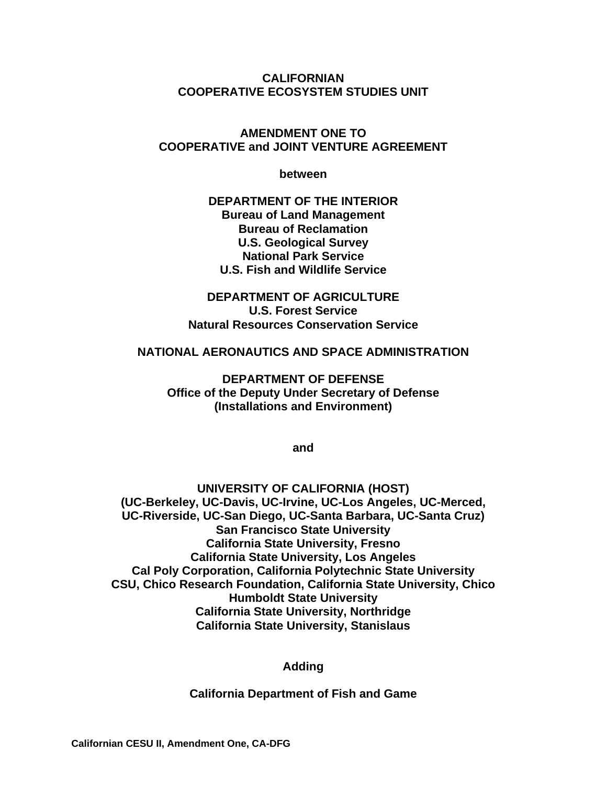**CALIFORNIAN COOPERATIVE ECOSYSTEM STUDIES UNIT** 

#### **AMENDMENT ONE TO COOPERATIVE and JOINT VENTURE AGREEMENT**

**between** 

**DEPARTMENT OF THE INTERIOR Bureau of Land Management Bureau of Reclamation U.S. Geological Survey National Park Service U.S. Fish and Wildlife Service** 

**DEPARTMENT OF AGRICULTURE U.S. Forest Service Natural Resources Conservation Service** 

#### **NATIONAL AERONAUTICS AND SPACE ADMINISTRATION**

**DEPARTMENT OF DEFENSE Office of the Deputy Under Secretary of Defense (Installations and Environment)** 

**and** 

**UNIVERSITY OF CALIFORNIA (HOST) (UC-Berkeley, UC-Davis, UC-Irvine, UC-Los Angeles, UC-Merced, UC-Riverside, UC-San Diego, UC-Santa Barbara, UC-Santa Cruz) San Francisco State University California State University, Fresno California State University, Los Angeles Cal Poly Corporation, California Polytechnic State University CSU, Chico Research Foundation, California State University, Chico Humboldt State University California State University, Northridge California State University, Stanislaus** 

**Adding** 

**California Department of Fish and Game**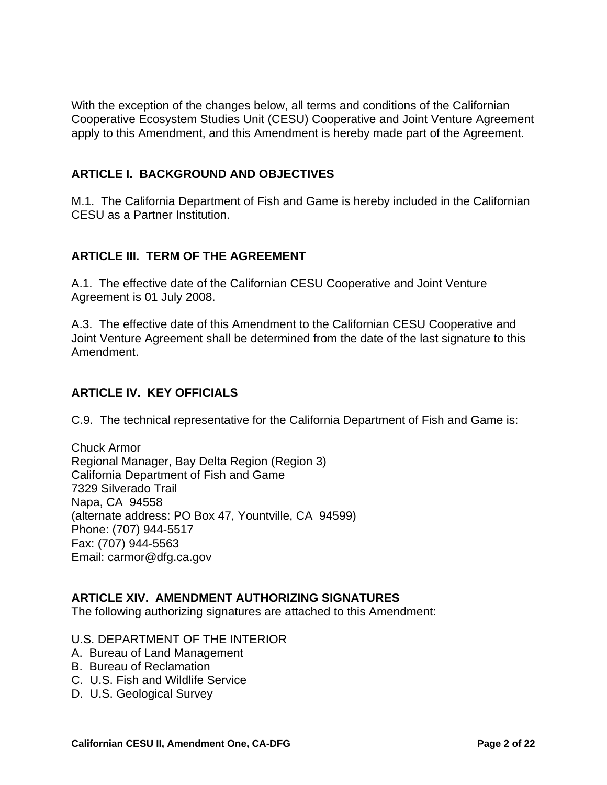With the exception of the changes below, all terms and conditions of the Californian Cooperative Ecosystem Studies Unit (CESU) Cooperative and Joint Venture Agreement apply to this Amendment, and this Amendment is hereby made part of the Agreement.

### **ARTICLE I. BACKGROUND AND OBJECTIVES**

M.1. The California Department of Fish and Game is hereby included in the Californian CESU as a Partner Institution.

### **ARTICLE III. TERM OF THE AGREEMENT**

A.1. The effective date of the Californian CESU Cooperative and Joint Venture Agreement is 01 July 2008.

A.3. The effective date of this Amendment to the Californian CESU Cooperative and Joint Venture Agreement shall be determined from the date of the last signature to this Amendment.

### **ARTICLE IV. KEY OFFICIALS**

C.9. The technical representative for the California Department of Fish and Game is:

Chuck Armor Regional Manager, Bay Delta Region (Region 3) California Department of Fish and Game 7329 Silverado Trail Napa, CA 94558 (alternate address: PO Box 47, Yountville, CA 94599) Phone: (707) 944-5517 Fax: (707) 944-5563 Email: carmor@dfg.ca.gov

#### **ARTICLE XIV. AMENDMENT AUTHORIZING SIGNATURES**

The following authorizing signatures are attached to this Amendment:

#### U.S. DEPARTMENT OF THE INTERIOR

- A. Bureau of Land Management
- B. Bureau of Reclamation
- C. U.S. Fish and Wildlife Service
- D. U.S. Geological Survey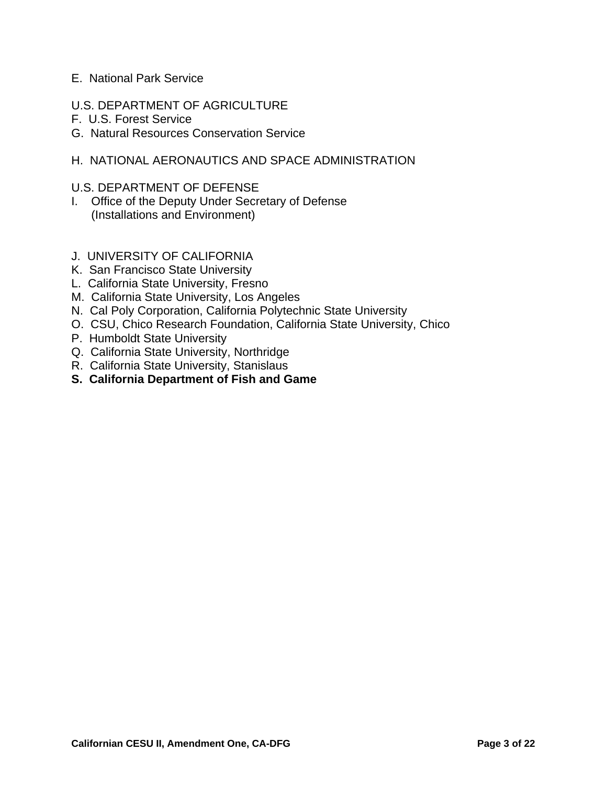#### E. National Park Service

- U.S. DEPARTMENT OF AGRICULTURE
- F. U.S. Forest Service
- G. Natural Resources Conservation Service

#### H. NATIONAL AERONAUTICS AND SPACE ADMINISTRATION

#### U.S. DEPARTMENT OF DEFENSE

- I. Office of the Deputy Under Secretary of Defense (Installations and Environment)
- J. UNIVERSITY OF CALIFORNIA
- K. San Francisco State University
- L. California State University, Fresno
- M. California State University, Los Angeles
- N. Cal Poly Corporation, California Polytechnic State University
- O. CSU, Chico Research Foundation, California State University, Chico
- P. Humboldt State University
- Q. California State University, Northridge
- R. California State University, Stanislaus
- **S. California Department of Fish and Game**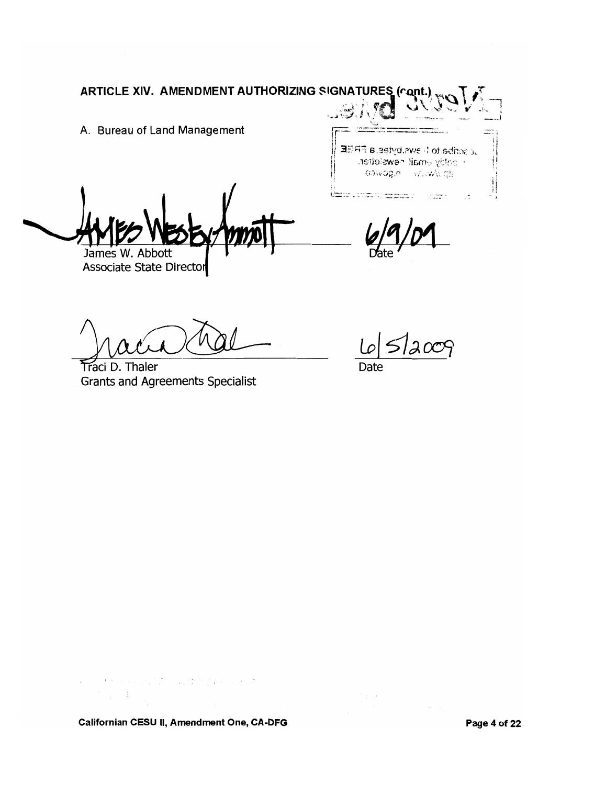A. Bureau of Land Management

James W. Abbott

Associate State Director

Traci D. Thaler **Grants and Agreements Specialist** 

at scribe to 1 ews.bytes.a FREE in addity email newsletter. stp //www.magovice.

raar mei waxaan waxaa<br>Afrika rii meri maalaman

е.<br>В Беланиславно — состоянили пологарскими можностимости и с состоянилистом.<br>В состояние пологарские составляет состояние состоянилиславно состоянилиславно состоянилистов.

512009

**Date** 

 $\sim 10^{-1}$   $\mu$ 

Californian CESU II, Amendment One, CA-DFG

 $\alpha$  , and the second function  $\mu_2$  <br>at  $\mathcal{B}(\mathbb{R}^n)$  if  $\alpha$  , and  $\beta$ 

 $\mathbb{S}_{\geq 0} \subset \mathbb{R}^n$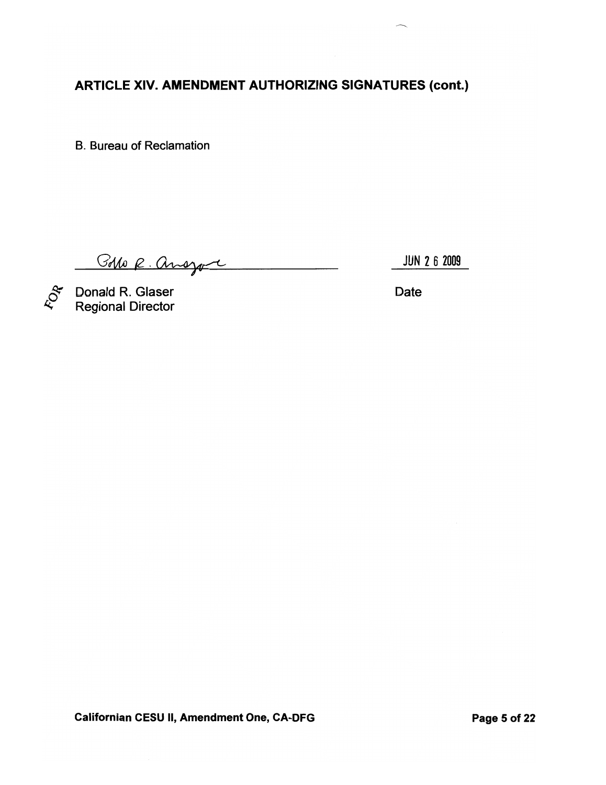**B. Bureau of Reclamation** 

Bolo R. ansyon

JUN 2 6 2009

ROA

Donald R. Glaser<br>Regional Director

Date

 $\mathbb{R}^n$ 

**Californian CESU II, Amendment One, CA-DFG**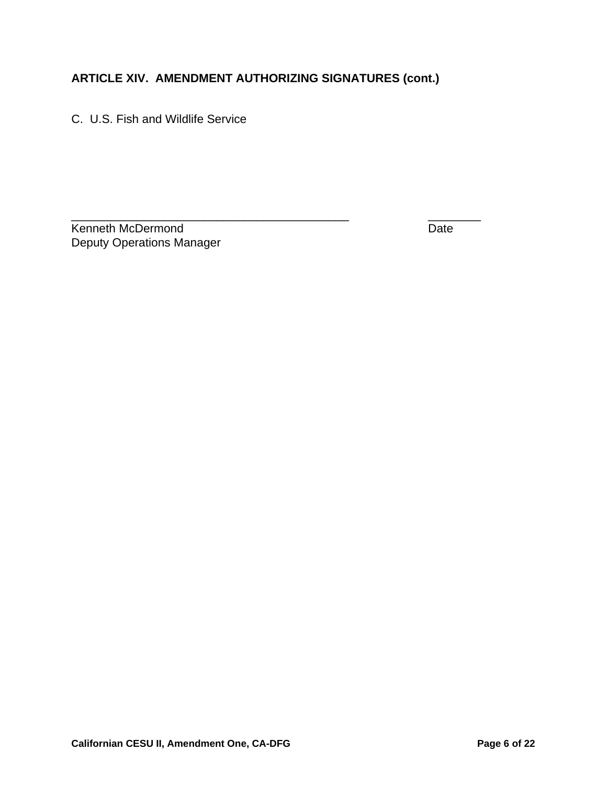C. U.S. Fish and Wildlife Service

\_\_\_\_\_\_\_\_\_\_\_\_\_\_\_\_\_\_\_\_\_\_\_\_\_\_\_\_\_\_\_\_\_\_\_\_\_\_\_\_\_\_ \_\_\_\_\_\_\_\_ Kenneth McDermond **Date** Deputy Operations Manager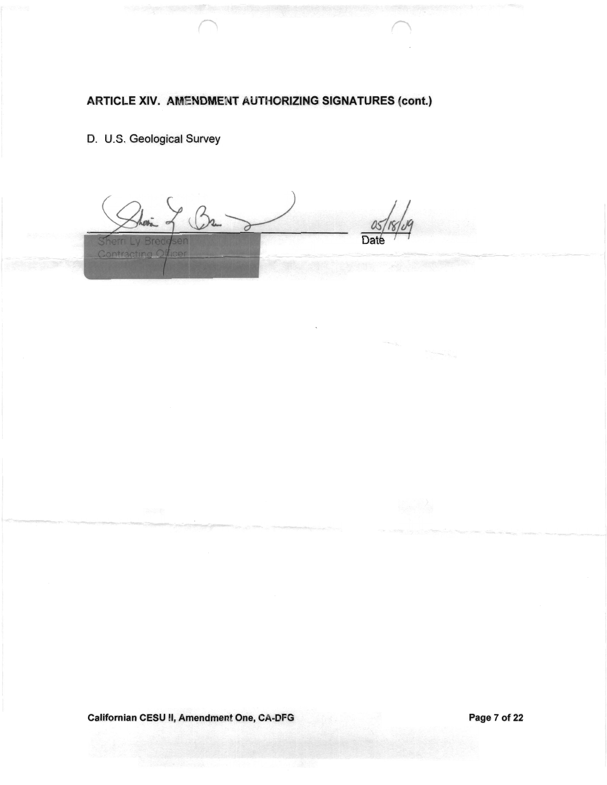D. U.S. Geological Survey

1 Br 2 Sherri Ly Bre Contracting C

 $\label{eq:1} \begin{aligned} \mathcal{L}_{\mathcal{A}}(q_{\mathcal{A}_{\mathcal{A}}},\ldots) & = \sum_{\mathcal{A}_{\mathcal{A}}(q_{\mathcal{A}})} \mathcal{L}_{\mathcal{A}_{\mathcal{A}}(q_{\mathcal{A}})} \end{aligned}$ 

Californian CESU II, Amendment One, CA-DFG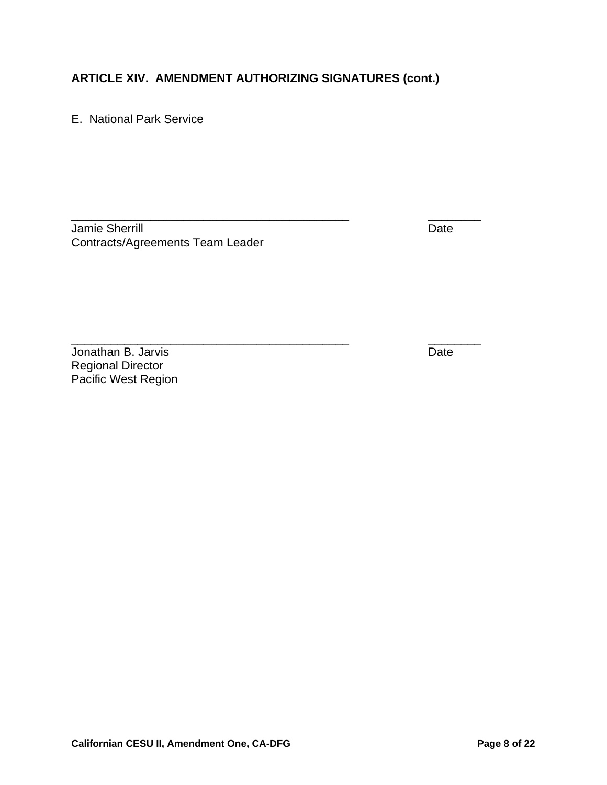\_\_\_\_\_\_\_\_\_\_\_\_\_\_\_\_\_\_\_\_\_\_\_\_\_\_\_\_\_\_\_\_\_\_\_\_\_\_\_\_\_\_ \_\_\_\_\_\_\_\_

E. National Park Service

Jamie Sherrill Date Communication of the Date Date Date Date Contracts/Agreements Team Leader

**Jonathan B. Jarvis** Date Regional Director Pacific West Region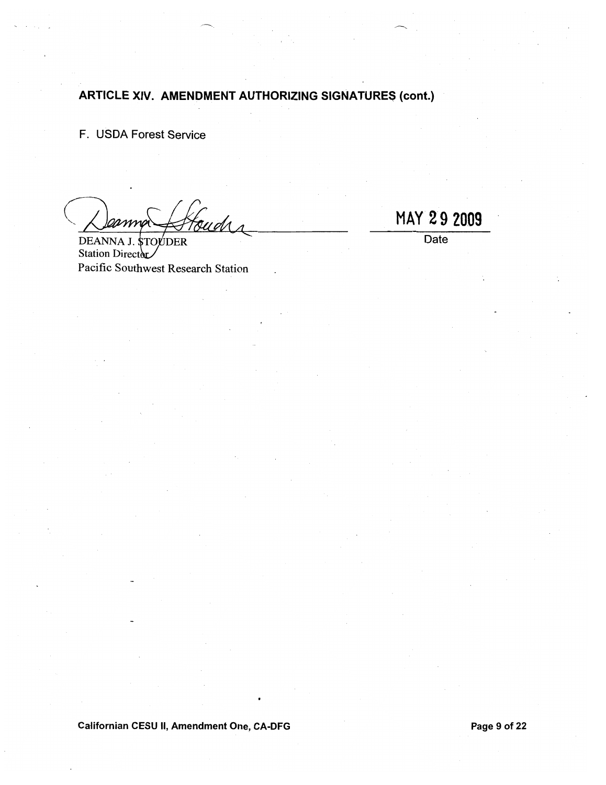F. USDA Forest Service

**DEANNA DER** Station Director Pacific Southwest Research Station

MAY 29 2009

 $\overline{Date}$ 

Californian CESU II, Amendment One, CA-DFG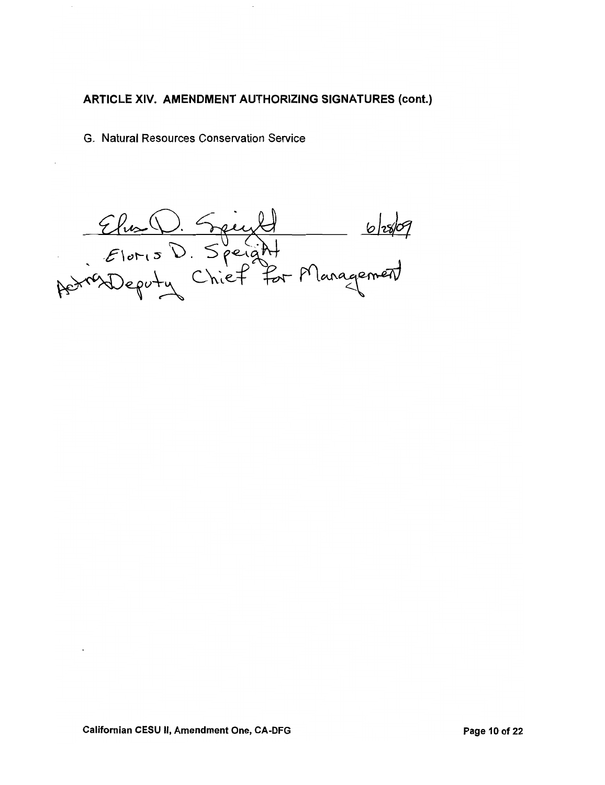G. Natural Resources Conservation Service

Elis D. Speight 6/28/09<br>Eloris D. Speight<br>Astrodopoly Chief for Management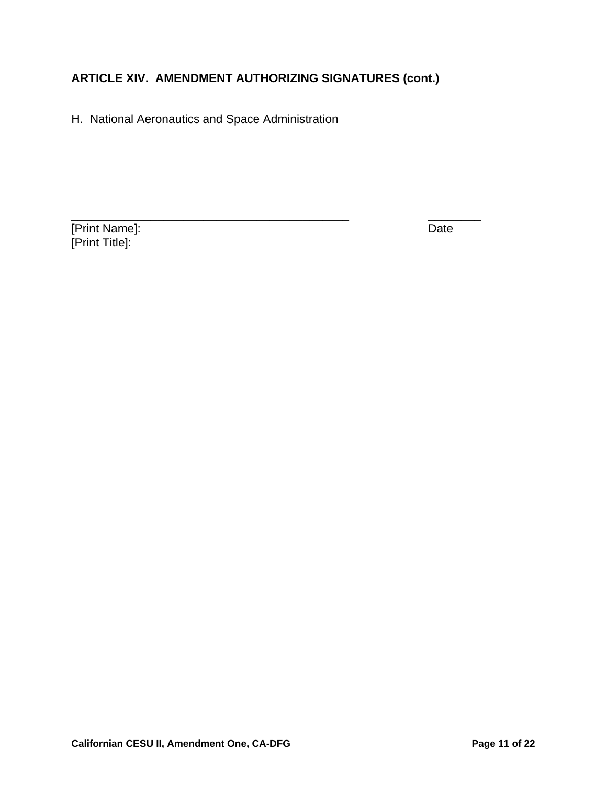H. National Aeronautics and Space Administration

[Print Name]: Date [Print Title]: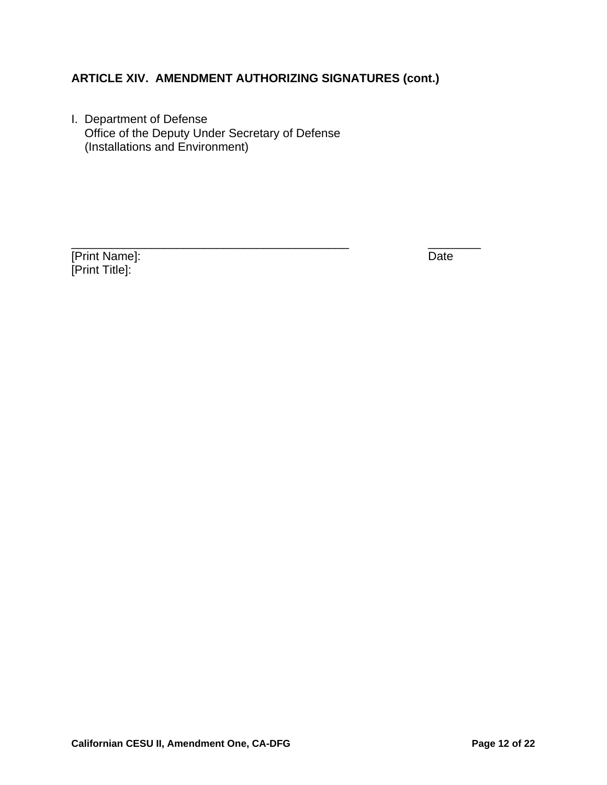I. Department of Defense Office of the Deputy Under Secretary of Defense (Installations and Environment)

[Print Name]: Date [Print Title]: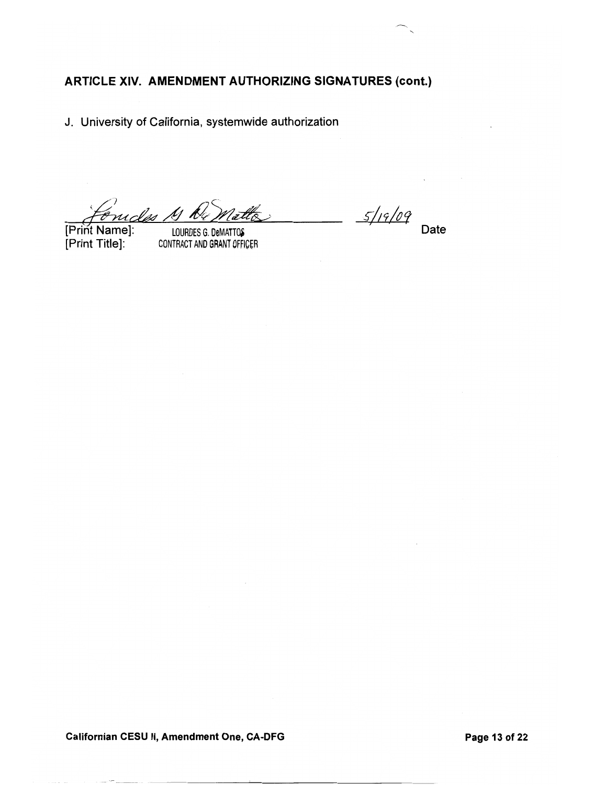J. University of California, systemwide authorization

M K4 -les

[Print Name]: [Print Title]:

LOURDES G. DeMATTOS CONTRACT AND GRANT OFFICER

 $5/19/09$ Date

Californian CESU II, Amendment One, CA-DFG

Page 13 of 22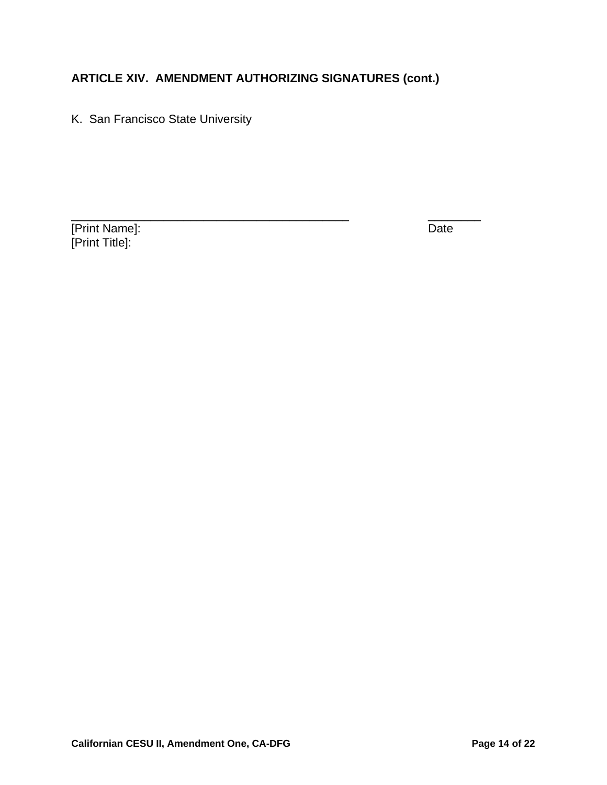K. San Francisco State University

[Print Name]: Date [Print Title]: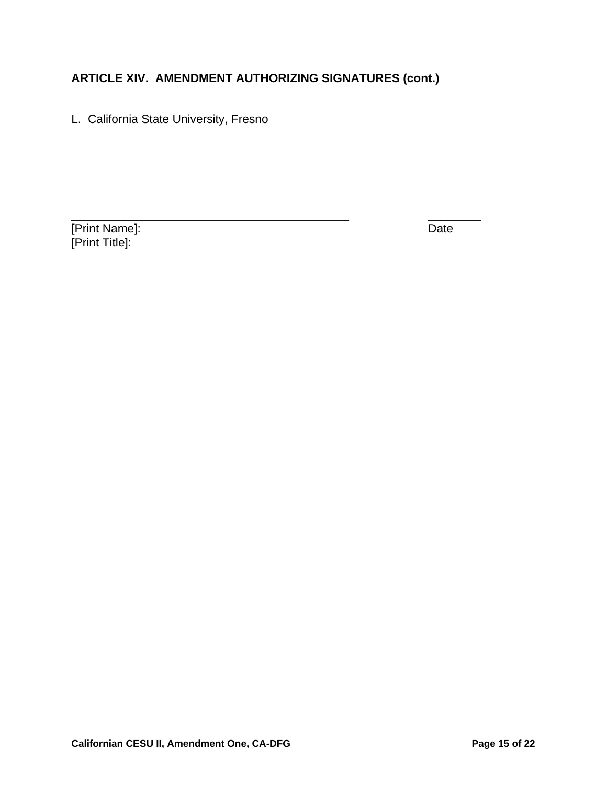L. California State University, Fresno

[Print Name]: Date [Print Title]: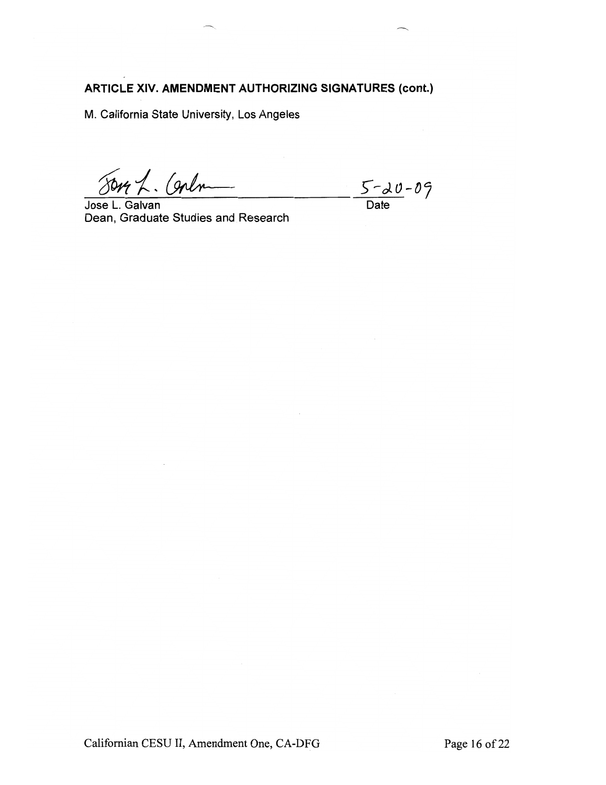M. California State University, Los Angeles

Son L. Corlo

Jose L. Galvan Dean, Graduate Studies and Research

 $\frac{5 - 20 - 09}{\text{Date}}$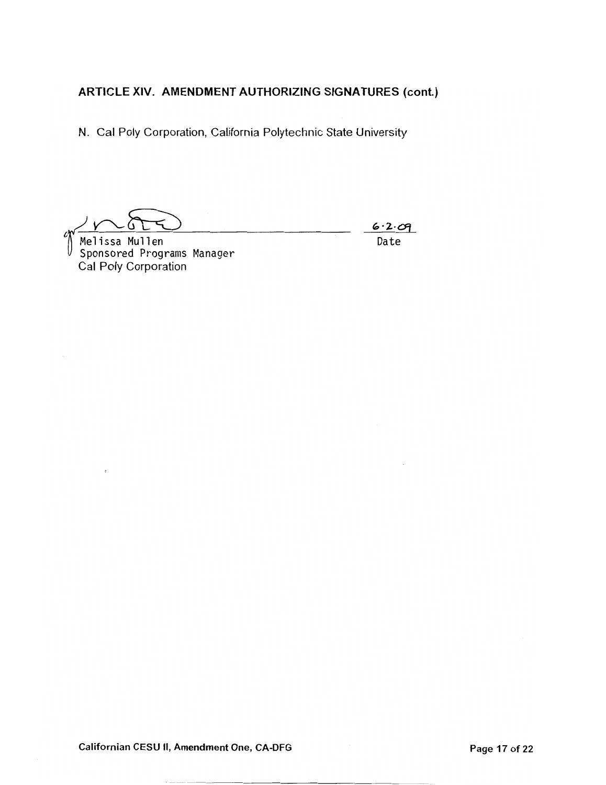N. Cal Poly Corporation, California Polytechnic State University

 $6.2.09$ Date

Melissa Mullen Sponsored Programs Manager Cal Poly Corporation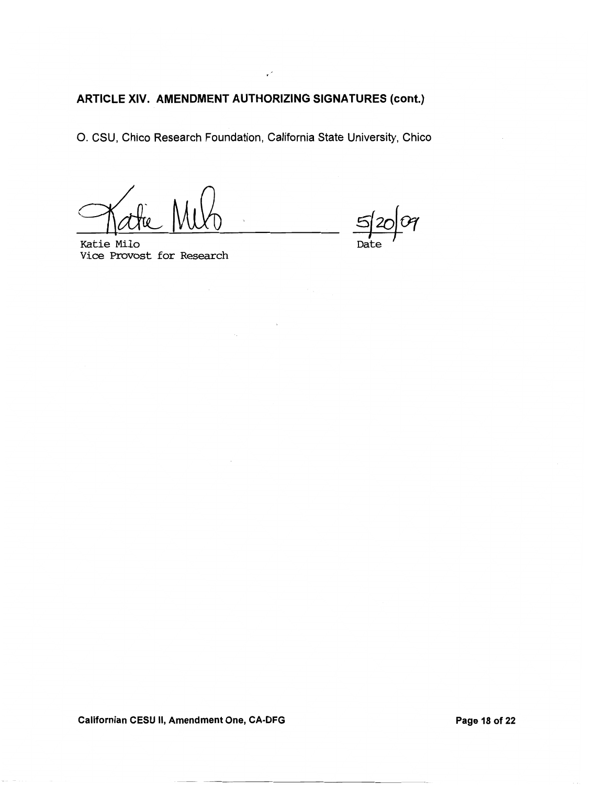$\mathbf{v}^{\mathcal{S}}$ 

O. CSU, Chico Research Foundation, California State University, Chico

 $\sim$ 

 $\overline{\mathcal{C}}$ Dat

Katie Milo Vice Provost for Research

Californian CESU II, Amendment One, CA-DFG

Page 18 of 22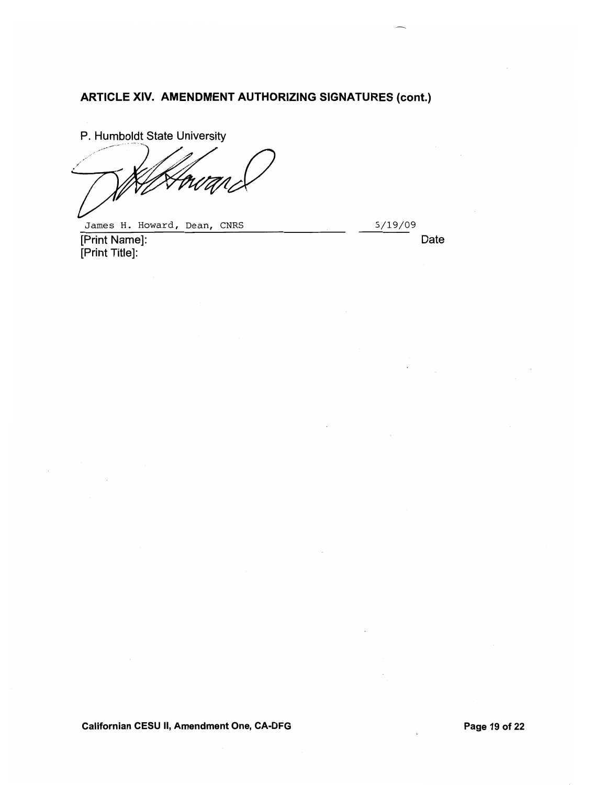P. Humboldt State University

James H. Howard, Dean, CNRS

5/19/09

[Print Name]: [Print Title]:

Date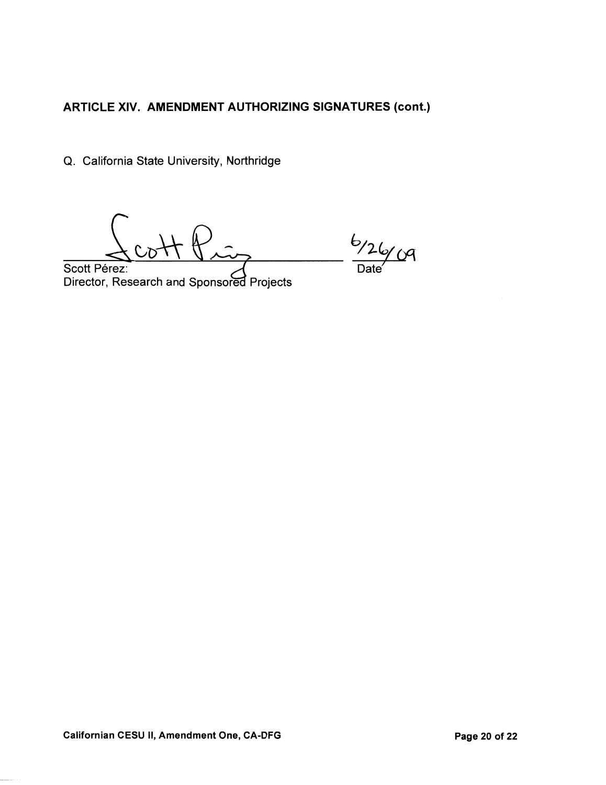Q. California State University, Northridge

Scott Pérez: Director, Research and Sponsored Projects

 $6/26/09$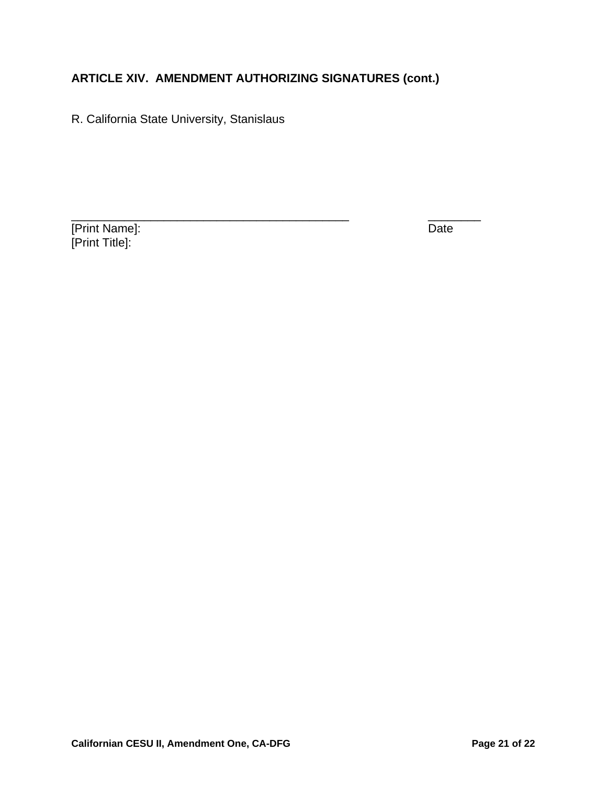R. California State University, Stanislaus

[Print Name]: Date [Print Title]: